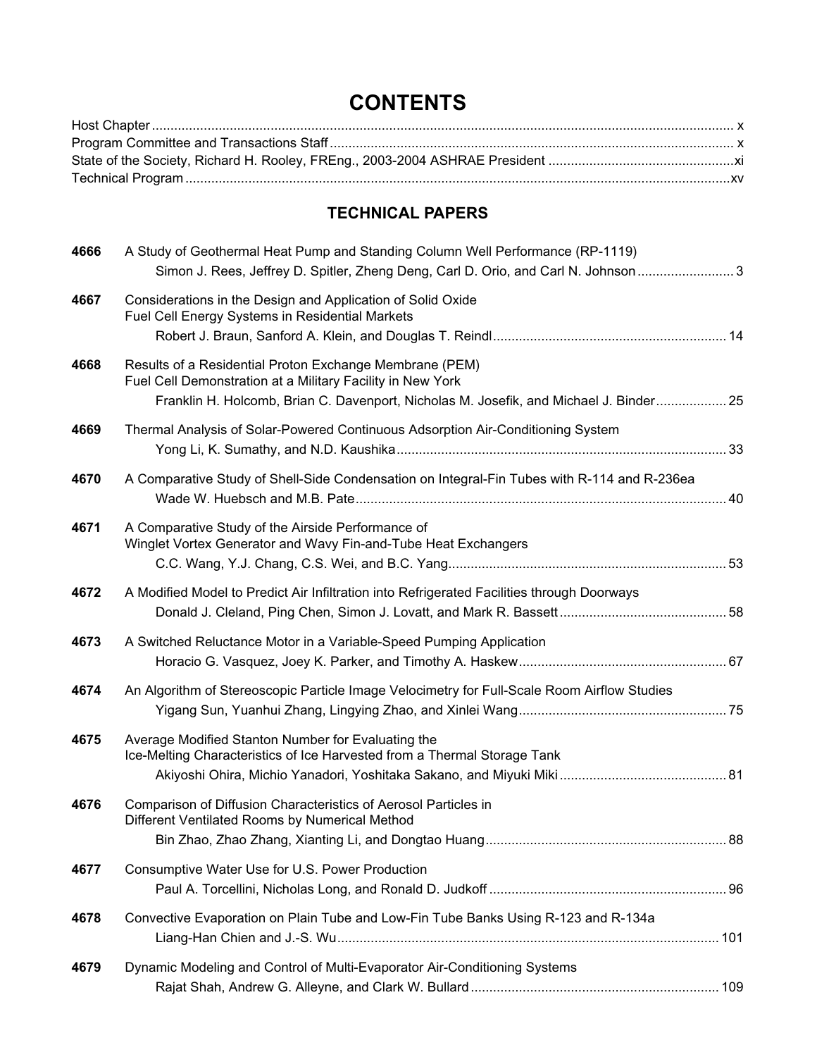# **CONTENTS**

### **TECHNICAL PAPERS**

| 4666 | A Study of Geothermal Heat Pump and Standing Column Well Performance (RP-1119)<br>Simon J. Rees, Jeffrey D. Spitler, Zheng Deng, Carl D. Orio, and Carl N. Johnson  3 |    |
|------|-----------------------------------------------------------------------------------------------------------------------------------------------------------------------|----|
| 4667 | Considerations in the Design and Application of Solid Oxide<br>Fuel Cell Energy Systems in Residential Markets                                                        |    |
| 4668 | Results of a Residential Proton Exchange Membrane (PEM)<br>Fuel Cell Demonstration at a Military Facility in New York                                                 |    |
|      | Franklin H. Holcomb, Brian C. Davenport, Nicholas M. Josefik, and Michael J. Binder 25                                                                                |    |
| 4669 | Thermal Analysis of Solar-Powered Continuous Adsorption Air-Conditioning System                                                                                       |    |
| 4670 | A Comparative Study of Shell-Side Condensation on Integral-Fin Tubes with R-114 and R-236ea                                                                           |    |
| 4671 | A Comparative Study of the Airside Performance of<br>Winglet Vortex Generator and Wavy Fin-and-Tube Heat Exchangers                                                   |    |
| 4672 | A Modified Model to Predict Air Infiltration into Refrigerated Facilities through Doorways                                                                            |    |
| 4673 | A Switched Reluctance Motor in a Variable-Speed Pumping Application                                                                                                   |    |
| 4674 | An Algorithm of Stereoscopic Particle Image Velocimetry for Full-Scale Room Airflow Studies                                                                           |    |
| 4675 | Average Modified Stanton Number for Evaluating the<br>Ice-Melting Characteristics of Ice Harvested from a Thermal Storage Tank                                        |    |
| 4676 | Comparison of Diffusion Characteristics of Aerosol Particles in<br>Different Ventilated Rooms by Numerical Method                                                     |    |
|      |                                                                                                                                                                       | 88 |
| 4677 | Consumptive Water Use for U.S. Power Production                                                                                                                       |    |
| 4678 | Convective Evaporation on Plain Tube and Low-Fin Tube Banks Using R-123 and R-134a                                                                                    |    |
| 4679 | Dynamic Modeling and Control of Multi-Evaporator Air-Conditioning Systems                                                                                             |    |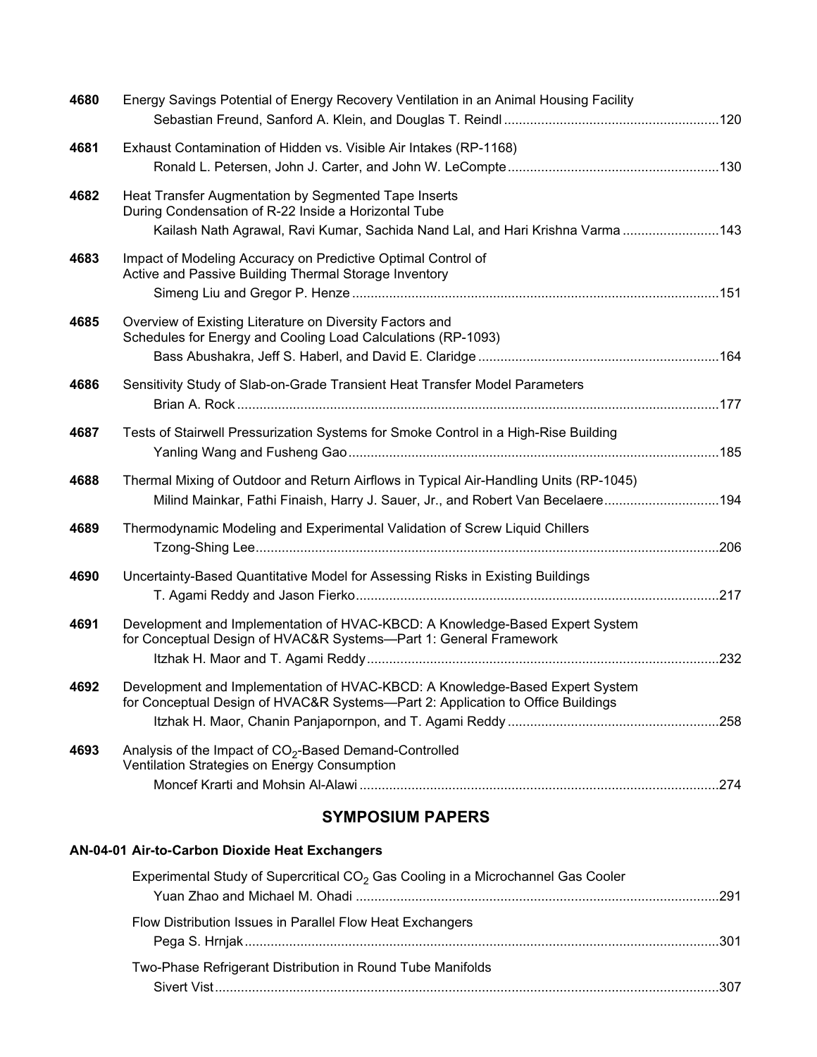| 4680 | Energy Savings Potential of Energy Recovery Ventilation in an Animal Housing Facility                                                                                                         |  |
|------|-----------------------------------------------------------------------------------------------------------------------------------------------------------------------------------------------|--|
| 4681 | Exhaust Contamination of Hidden vs. Visible Air Intakes (RP-1168)                                                                                                                             |  |
| 4682 | Heat Transfer Augmentation by Segmented Tape Inserts<br>During Condensation of R-22 Inside a Horizontal Tube<br>Kailash Nath Agrawal, Ravi Kumar, Sachida Nand Lal, and Hari Krishna Varma143 |  |
| 4683 | Impact of Modeling Accuracy on Predictive Optimal Control of<br>Active and Passive Building Thermal Storage Inventory                                                                         |  |
| 4685 | Overview of Existing Literature on Diversity Factors and<br>Schedules for Energy and Cooling Load Calculations (RP-1093)                                                                      |  |
| 4686 | Sensitivity Study of Slab-on-Grade Transient Heat Transfer Model Parameters                                                                                                                   |  |
| 4687 | Tests of Stairwell Pressurization Systems for Smoke Control in a High-Rise Building                                                                                                           |  |
| 4688 | Thermal Mixing of Outdoor and Return Airflows in Typical Air-Handling Units (RP-1045)<br>Milind Mainkar, Fathi Finaish, Harry J. Sauer, Jr., and Robert Van Becelaere194                      |  |
| 4689 | Thermodynamic Modeling and Experimental Validation of Screw Liquid Chillers                                                                                                                   |  |
| 4690 | Uncertainty-Based Quantitative Model for Assessing Risks in Existing Buildings                                                                                                                |  |
| 4691 | Development and Implementation of HVAC-KBCD: A Knowledge-Based Expert System<br>for Conceptual Design of HVAC&R Systems-Part 1: General Framework                                             |  |
| 4692 | Development and Implementation of HVAC-KBCD: A Knowledge-Based Expert System<br>for Conceptual Design of HVAC&R Systems--Part 2: Application to Office Buildings                              |  |
| 4693 | Analysis of the Impact of CO <sub>2</sub> -Based Demand-Controlled<br>Ventilation Strategies on Energy Consumption                                                                            |  |
|      |                                                                                                                                                                                               |  |

## **SYMPOSIUM PAPERS**

#### **AN-04-01 Air-to-Carbon Dioxide Heat Exchangers**

| Experimental Study of Supercritical CO <sub>2</sub> Gas Cooling in a Microchannel Gas Cooler |     |
|----------------------------------------------------------------------------------------------|-----|
|                                                                                              |     |
| Flow Distribution Issues in Parallel Flow Heat Exchangers                                    | 301 |
| Two-Phase Refrigerant Distribution in Round Tube Manifolds                                   |     |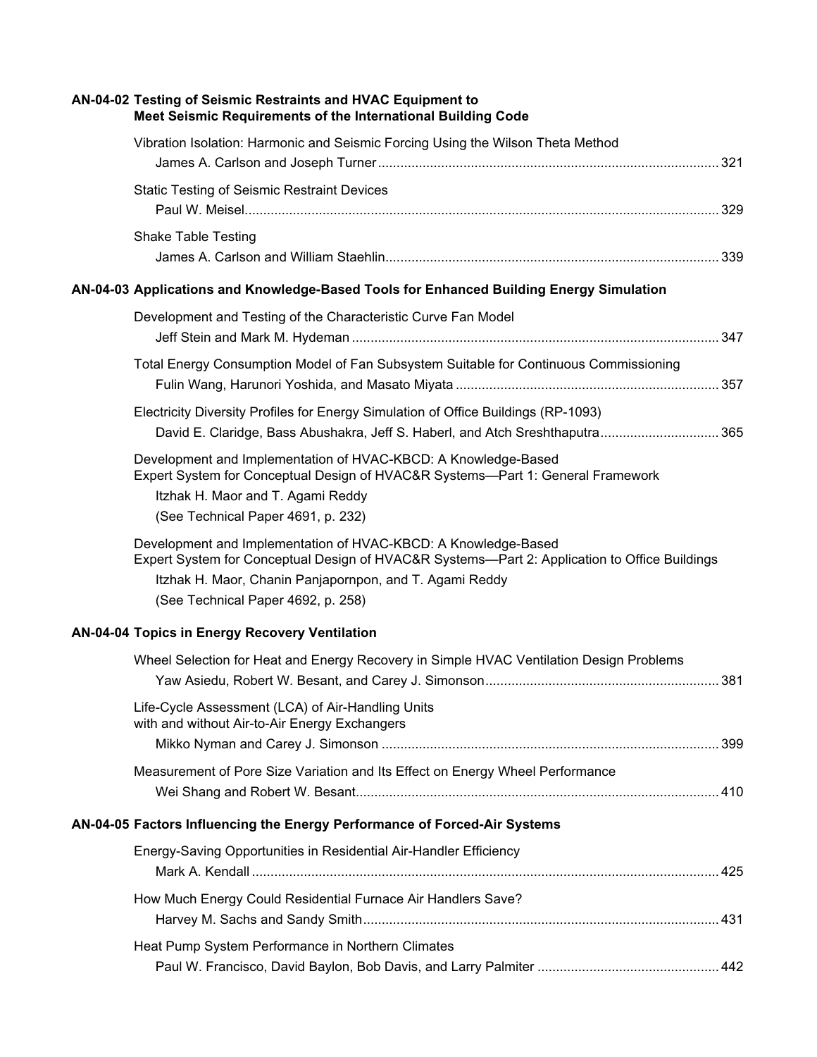| AN-04-02 Testing of Seismic Restraints and HVAC Equipment to<br>Meet Seismic Requirements of the International Building Code                                                                                                                                     |
|------------------------------------------------------------------------------------------------------------------------------------------------------------------------------------------------------------------------------------------------------------------|
| Vibration Isolation: Harmonic and Seismic Forcing Using the Wilson Theta Method                                                                                                                                                                                  |
|                                                                                                                                                                                                                                                                  |
| <b>Static Testing of Seismic Restraint Devices</b>                                                                                                                                                                                                               |
| <b>Shake Table Testing</b>                                                                                                                                                                                                                                       |
| AN-04-03 Applications and Knowledge-Based Tools for Enhanced Building Energy Simulation                                                                                                                                                                          |
| Development and Testing of the Characteristic Curve Fan Model                                                                                                                                                                                                    |
| Total Energy Consumption Model of Fan Subsystem Suitable for Continuous Commissioning                                                                                                                                                                            |
| Electricity Diversity Profiles for Energy Simulation of Office Buildings (RP-1093)<br>David E. Claridge, Bass Abushakra, Jeff S. Haberl, and Atch Sreshthaputra 365                                                                                              |
| Development and Implementation of HVAC-KBCD: A Knowledge-Based<br>Expert System for Conceptual Design of HVAC&R Systems—Part 1: General Framework<br>Itzhak H. Maor and T. Agami Reddy<br>(See Technical Paper 4691, p. 232)                                     |
| Development and Implementation of HVAC-KBCD: A Knowledge-Based<br>Expert System for Conceptual Design of HVAC&R Systems—Part 2: Application to Office Buildings<br>Itzhak H. Maor, Chanin Panjapornpon, and T. Agami Reddy<br>(See Technical Paper 4692, p. 258) |
| AN-04-04 Topics in Energy Recovery Ventilation                                                                                                                                                                                                                   |
| Wheel Selection for Heat and Energy Recovery in Simple HVAC Ventilation Design Problems                                                                                                                                                                          |
| Life-Cycle Assessment (LCA) of Air-Handling Units<br>with and without Air-to-Air Energy Exchangers                                                                                                                                                               |
| Measurement of Pore Size Variation and Its Effect on Energy Wheel Performance                                                                                                                                                                                    |
| AN-04-05 Factors Influencing the Energy Performance of Forced-Air Systems                                                                                                                                                                                        |
| Energy-Saving Opportunities in Residential Air-Handler Efficiency                                                                                                                                                                                                |
| How Much Energy Could Residential Furnace Air Handlers Save?                                                                                                                                                                                                     |
| Heat Pump System Performance in Northern Climates                                                                                                                                                                                                                |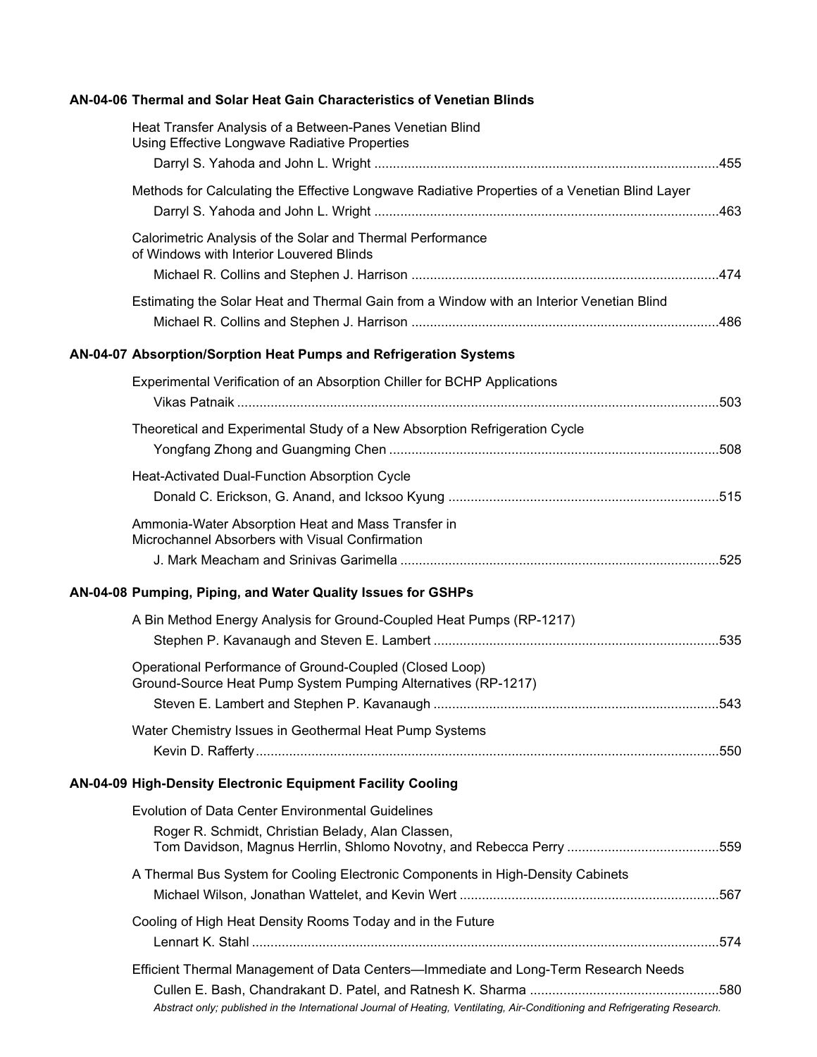#### **AN-04-06 Thermal and Solar Heat Gain Characteristics of Venetian Blinds**

| Heat Transfer Analysis of a Between-Panes Venetian Blind<br>Using Effective Longwave Radiative Properties                                                                                                          |  |
|--------------------------------------------------------------------------------------------------------------------------------------------------------------------------------------------------------------------|--|
| Methods for Calculating the Effective Longwave Radiative Properties of a Venetian Blind Layer                                                                                                                      |  |
| Calorimetric Analysis of the Solar and Thermal Performance<br>of Windows with Interior Louvered Blinds                                                                                                             |  |
| Estimating the Solar Heat and Thermal Gain from a Window with an Interior Venetian Blind                                                                                                                           |  |
| AN-04-07 Absorption/Sorption Heat Pumps and Refrigeration Systems                                                                                                                                                  |  |
| Experimental Verification of an Absorption Chiller for BCHP Applications                                                                                                                                           |  |
| Theoretical and Experimental Study of a New Absorption Refrigeration Cycle                                                                                                                                         |  |
| Heat-Activated Dual-Function Absorption Cycle                                                                                                                                                                      |  |
| Ammonia-Water Absorption Heat and Mass Transfer in<br>Microchannel Absorbers with Visual Confirmation                                                                                                              |  |
| AN-04-08 Pumping, Piping, and Water Quality Issues for GSHPs                                                                                                                                                       |  |
| A Bin Method Energy Analysis for Ground-Coupled Heat Pumps (RP-1217)                                                                                                                                               |  |
| Operational Performance of Ground-Coupled (Closed Loop)<br>Ground-Source Heat Pump System Pumping Alternatives (RP-1217)                                                                                           |  |
| Water Chemistry Issues in Geothermal Heat Pump Systems                                                                                                                                                             |  |
| AN-04-09 High-Density Electronic Equipment Facility Cooling                                                                                                                                                        |  |
| <b>Evolution of Data Center Environmental Guidelines</b>                                                                                                                                                           |  |
| Roger R. Schmidt, Christian Belady, Alan Classen,                                                                                                                                                                  |  |
| A Thermal Bus System for Cooling Electronic Components in High-Density Cabinets                                                                                                                                    |  |
| Cooling of High Heat Density Rooms Today and in the Future                                                                                                                                                         |  |
| Efficient Thermal Management of Data Centers—Immediate and Long-Term Research Needs<br>Abstract only; published in the International Journal of Heating, Ventilating, Air-Conditioning and Refrigerating Research. |  |